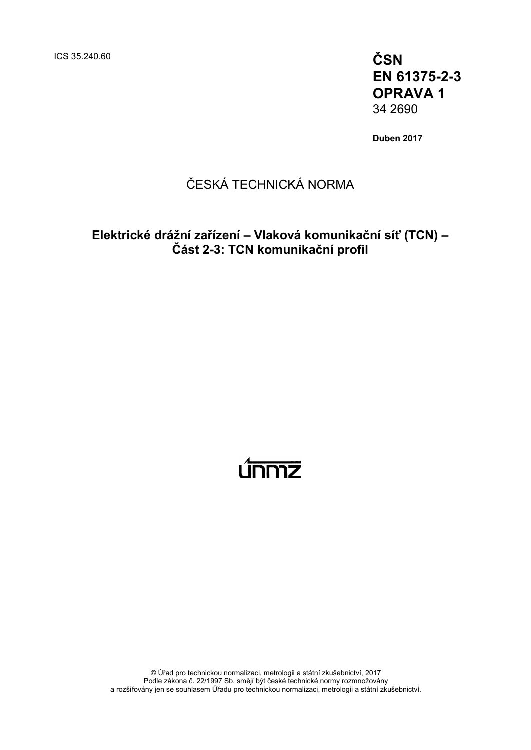ICS 35.240.60 **ČSN**

**EN 61375-2-3 OPRAVA 1** 34 2690

**Duben 2017**

## ČESKÁ TECHNICKÁ NORMA

## **Elektrické drážní zařízení – Vlaková komunikační síť (TCN) – Část 2-3: TCN komunikační profil**

# <u>únmz</u>

© Úřad pro technickou normalizaci, metrologii a státní zkušebnictví, 2017 Podle zákona č. 22/1997 Sb. smějí být české technické normy rozmnožovány a rozšiřovány jen se souhlasem Úřadu pro technickou normalizaci, metrologii a státní zkušebnictví.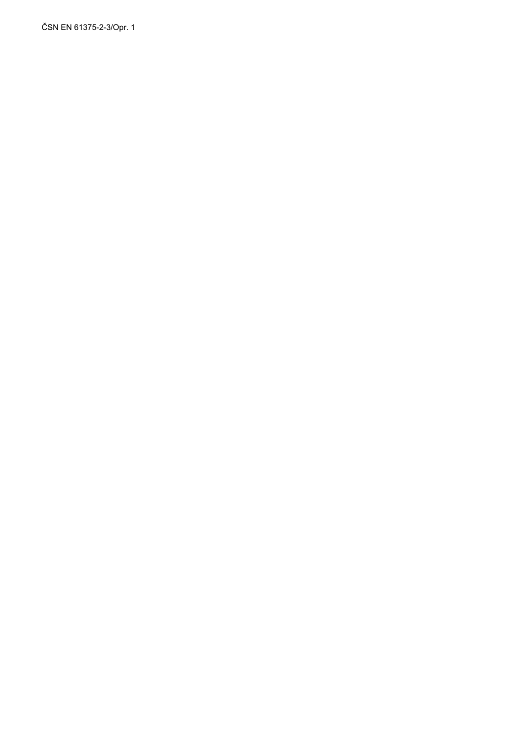ČSN EN 61375-2-3/Opr. 1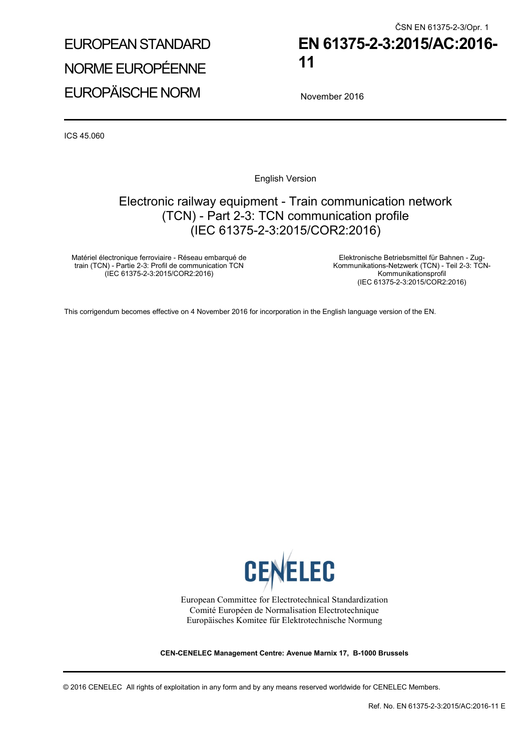## EUROPEAN STANDARD NORME EUROPÉENNE EUROPÄISCHE NORM

## **EN 61375-2-3:2015/AC:2016- 11**  ČSN EN 61375-2-3/Opr. 1

November 2016

ICS 45.060

English Version

## Electronic railway equipment - Train communication network (TCN) - Part 2-3: TCN communication profile (IEC 61375-2-3:2015/COR2:2016)

Matériel électronique ferroviaire - Réseau embarqué de train (TCN) - Partie 2-3: Profil de communication TCN (IEC 61375-2-3:2015/COR2:2016)

 Elektronische Betriebsmittel für Bahnen - Zug-Kommunikations-Netzwerk (TCN) - Teil 2-3: TCN-Kommunikationsprofil (IEC 61375-2-3:2015/COR2:2016)

This corrigendum becomes effective on 4 November 2016 for incorporation in the English language version of the EN.



European Committee for Electrotechnical Standardization Comité Européen de Normalisation Electrotechnique Europäisches Komitee für Elektrotechnische Normung

**CEN-CENELEC Management Centre: Avenue Marnix 17, B-1000 Brussels** 

© 2016 CENELEC All rights of exploitation in any form and by any means reserved worldwide for CENELEC Members.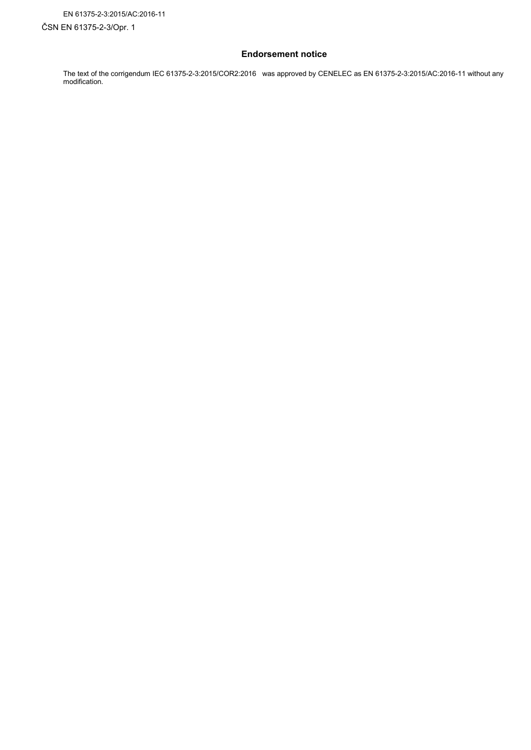EN 61375-2-3:2015/AC:2016-11

ČSN EN 61375-2-3/Opr. 1

#### **Endorsement notice**

The text of the corrigendum IEC 61375-2-3:2015/COR2:2016 was approved by CENELEC as EN 61375-2-3:2015/AC:2016-11 without any modification.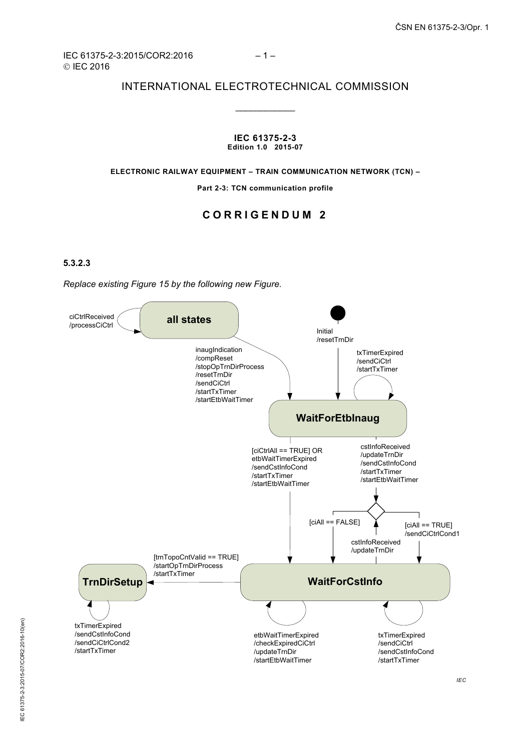IEC 61375-2-3:2015/COR2:2016 – 1 – © IEC 2016

#### INTERNATIONAL ELECTROTECHNICAL COMMISSION

\_\_\_\_\_\_\_\_\_\_\_\_

#### **IEC 61375-2-3 Edition 1.0 2015-07**

#### **ELECTRONIC RAILWAY EQUIPMENT – TRAIN COMMUNICATION NETWORK (TCN) –**

**Part 2-3: TCN communication profile**

#### **CORRIGENDUM 2**

#### **5.3.2.3**

*Replace existing Figure 15 by the following new Figure.* 

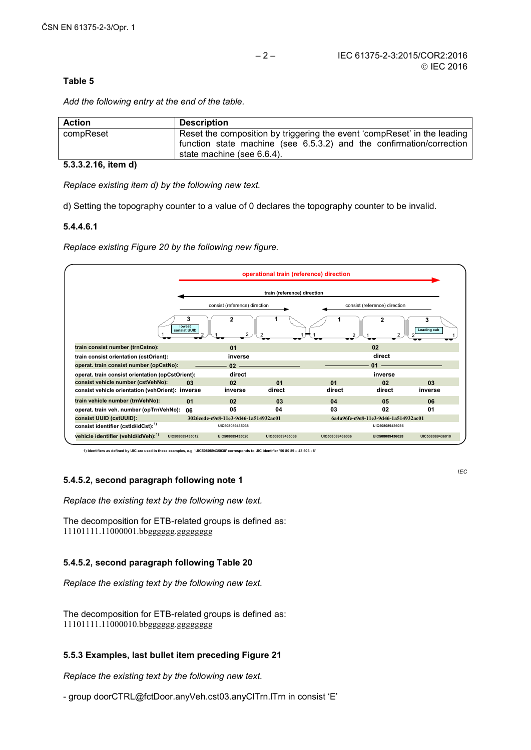#### **Table 5**

*Add the following entry at the end of the table.* 

| compReset | Reset the composition by triggering the event 'compReset' in the leading<br>function state machine (see 6.5.3.2) and the confirmation/correction<br>state machine (see 6.6.4). |
|-----------|--------------------------------------------------------------------------------------------------------------------------------------------------------------------------------|

#### **5.3.3.2.16, item d)**

*Replace existing item d) by the following new text.* 

d) Setting the topography counter to a value of 0 declares the topography counter to be invalid.

#### **5.4.4.6.1**

*Replace existing Figure 20 by the following new figure.* 



**1) Identifiers as defined by UIC are used in these examples, e.g. 'UIC508089435038' corresponds to UIC identifier '50 80 89 – 43 503 - 8'**

#### **5.4.5.2, second paragraph following note 1**

*Replace the existing text by the following new text.* 

The decomposition for ETB-related groups is defined as: 11101111.11000001.bbgggggg.gggggggg

#### **5.4.5.2, second paragraph following Table 20**

*Replace the existing text by the following new text.* 

The decomposition for ETB-related groups is defined as: 11101111.11000010.bbgggggg.gggggggg

#### **5.5.3 Examples, last bullet item preceding Figure 21**

*Replace the existing text by the following new text.* 

- group doorCTRL@fctDoor.anyVeh.cst03.anyClTrn.lTrn in consist 'E'

*IEC*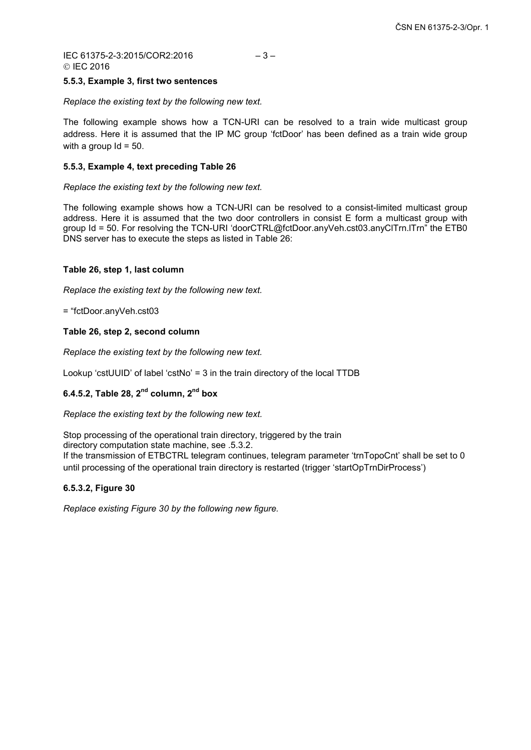IEC 61375-2-3:2015/COR2:2016 – 3 – © IEC 2016

#### **5.5.3, Example 3, first two sentences**

*Replace the existing text by the following new text.* 

The following example shows how a TCN-URI can be resolved to a train wide multicast group address. Here it is assumed that the IP MC group 'fctDoor' has been defined as a train wide group with a group  $Id = 50$ .

#### **5.5.3, Example 4, text preceding Table 26**

*Replace the existing text by the following new text.* 

The following example shows how a TCN-URI can be resolved to a consist-limited multicast group address. Here it is assumed that the two door controllers in consist E form a multicast group with group Id = 50. For resolving the TCN-URI 'doorCTRL@fctDoor.anyVeh.cst03.anyClTrn.lTrn" the ETB0 DNS server has to execute the steps as listed in Table 26:

#### **Table 26, step 1, last column**

*Replace the existing text by the following new text.* 

= "fctDoor.anyVeh.cst03

#### **Table 26, step 2, second column**

*Replace the existing text by the following new text.* 

Lookup 'cstUUID' of label 'cstNo' = 3 in the train directory of the local TTDB

#### **6.4.5.2, Table 28, 2nd column, 2nd box**

*Replace the existing text by the following new text.* 

Stop processing of the operational train directory, triggered by the train directory computation state machine, see .5.3.2. If the transmission of ETBCTRL telegram continues, telegram parameter 'trnTopoCnt' shall be set to 0 until processing of the operational train directory is restarted (trigger 'startOpTrnDirProcess')

#### **6.5.3.2, Figure 30**

*Replace existing Figure 30 by the following new figure.*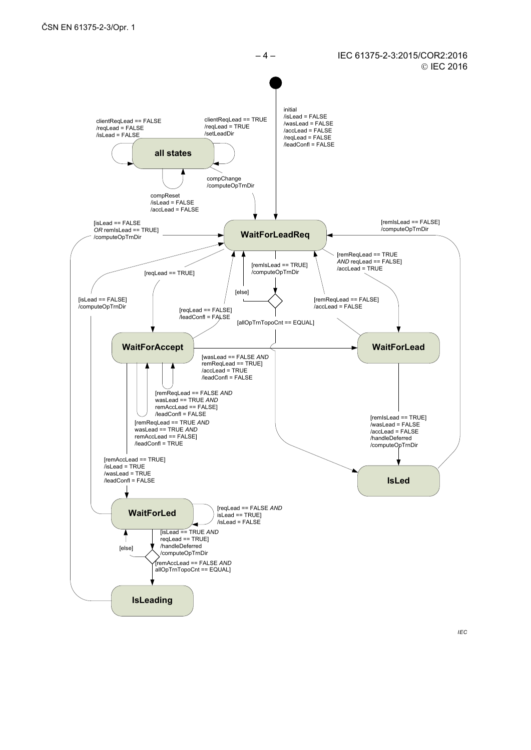

*IEC*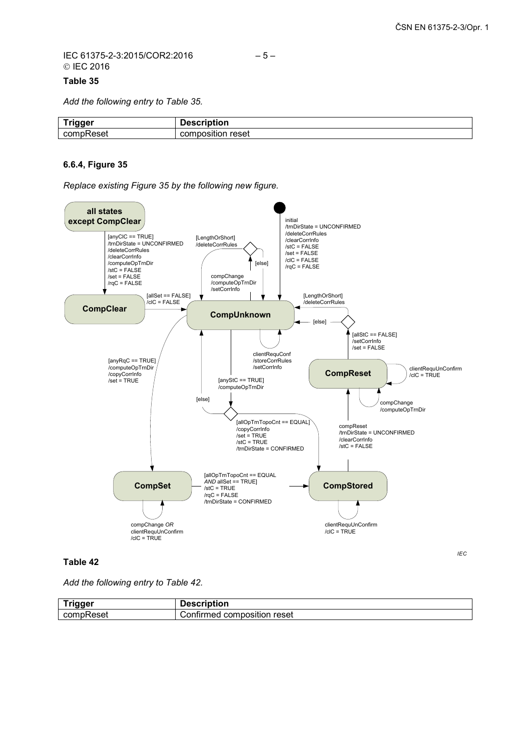IEC 61375-2-3:2015/COR2:2016 – 5 – © IEC 2016

#### **Table 35**

*Add the following entry to Table 35.*

| <b>Trigger</b> | <b>Description</b> |
|----------------|--------------------|
| compReset      | composition reset  |

#### **6.6.4, Figure 35**

*Replace existing Figure 35 by the following new figure.* 



#### **Table 42**

*Add the following entry to Table 42.* 

| rigger    | <b>Description</b>                |
|-----------|-----------------------------------|
| compReset | Confirmed<br>reset<br>composition |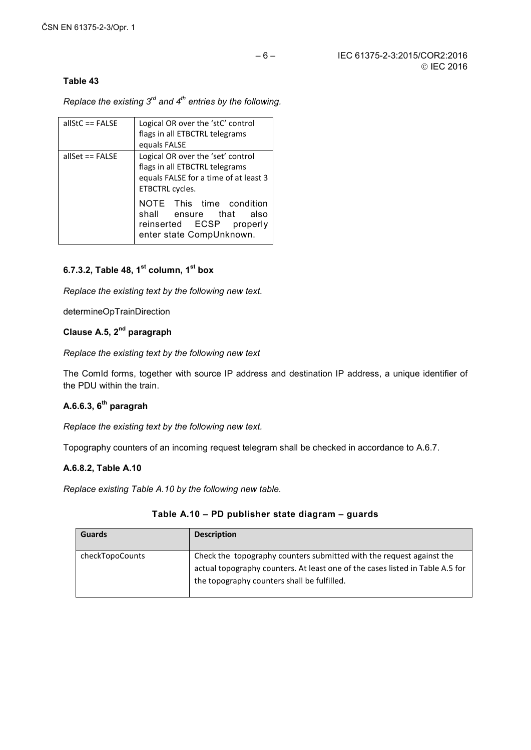#### **Table 43**

*Replace the existing 3rd and 4th entries by the following.* 

| $allStC == FALSE$ | Logical OR over the 'stC' control<br>flags in all ETBCTRL telegrams<br>equals FALSE                                             |
|-------------------|---------------------------------------------------------------------------------------------------------------------------------|
| allSet $==$ FALSE | Logical OR over the 'set' control<br>flags in all ETBCTRL telegrams<br>equals FALSE for a time of at least 3<br>ETBCTRL cycles. |
|                   | NOTE This time condition<br>ensure that<br>shall<br>also<br>reinserted ECSP<br>properly<br>enter state CompUnknown.             |

## **6.7.3.2, Table 48, 1st column, 1st box**

*Replace the existing text by the following new text.* 

determineOpTrainDirection

#### **Clause A.5, 2nd paragraph**

*Replace the existing text by the following new text*

The ComId forms, together with source IP address and destination IP address, a unique identifier of the PDU within the train.

### **A.6.6.3, 6th paragrah**

*Replace the existing text by the following new text.* 

Topography counters of an incoming request telegram shall be checked in accordance to A.6.7.

#### **A.6.8.2, Table A.10**

*Replace existing Table A.10 by the following new table.* 

| <b>Guards</b>   | <b>Description</b>                                                                                                                                                                                   |
|-----------------|------------------------------------------------------------------------------------------------------------------------------------------------------------------------------------------------------|
| checkTopoCounts | Check the topography counters submitted with the request against the<br>actual topography counters. At least one of the cases listed in Table A.5 for<br>the topography counters shall be fulfilled. |

#### **Table A.10 – PD publisher state diagram – guards**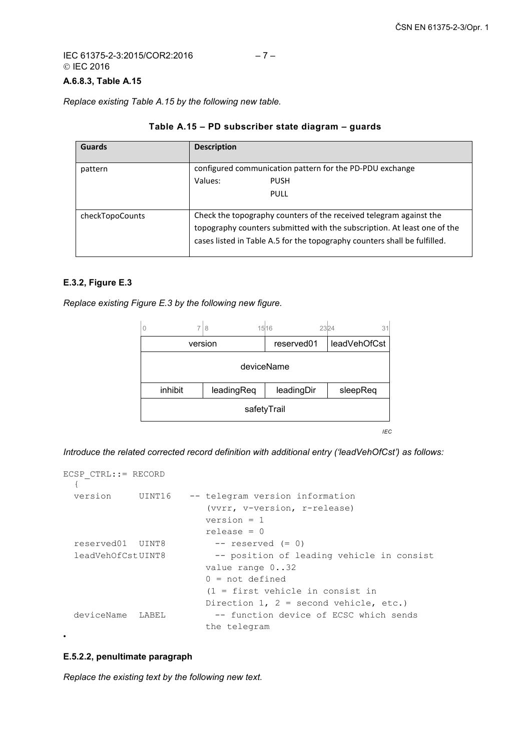IEC 61375-2-3:2015/COR2:2016 – 7 – © IEC 2016

#### **A.6.8.3, Table A.15**

*Replace existing Table A.15 by the following new table.*

| <b>Guards</b>   | <b>Description</b>                                                        |
|-----------------|---------------------------------------------------------------------------|
| pattern         | configured communication pattern for the PD-PDU exchange                  |
|                 | Values:<br><b>PUSH</b>                                                    |
|                 | PULL                                                                      |
|                 |                                                                           |
| checkTopoCounts | Check the topography counters of the received telegram against the        |
|                 | topography counters submitted with the subscription. At least one of the  |
|                 | cases listed in Table A.5 for the topography counters shall be fulfilled. |
|                 |                                                                           |

#### **Table A.15 – PD subscriber state diagram – guards**

#### **E.3.2, Figure E.3**

*Replace existing Figure E.3 by the following new figure.*



*IEC*

*Introduce the related corrected record definition with additional entry ('leadVehOfCst') as follows:* 

```
ECSP_CTRL::= RECORD
  { 
  version UINT16 -- telegram version information
                          (vvrr, v-version, r-release) 
                          version = 1
                          release = 0
  reserved01 UINT8 -- reserved (= 0)
   leadVehOfCstUINT8 -- position of leading vehicle in consist
                          value range 0..32 
                         0 = not defined (1 = first vehicle in consist in
                         Direction 1, 2 = second vehicle, etc.)
  deviceName LABEL -- function device of ECSC which sends
                          the telegram
•
```
#### **E.5.2.2, penultimate paragraph**

*Replace the existing text by the following new text.*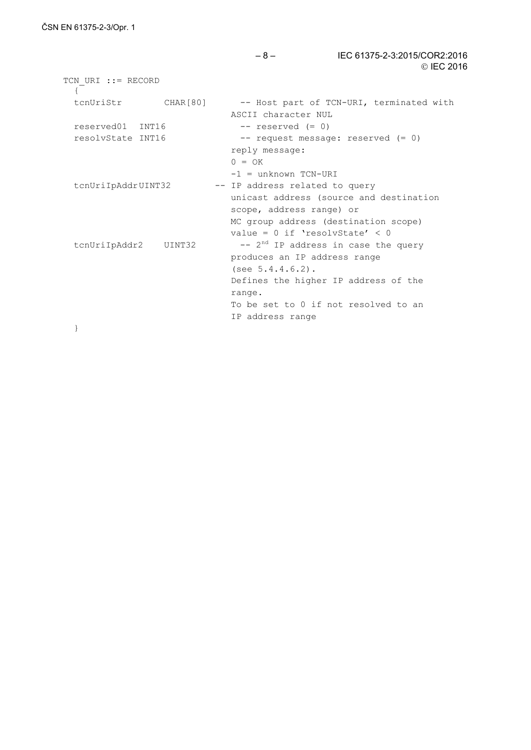```
TCN URI ::= RECORD
 \{ tcnUriStr CHAR[80] -- Host part of TCN-URI, terminated with
 ASCII character NUL
 reserved01 INT16 -- reserved (= 0)resolvState INT16 -- request message: reserved (= 0)
                            reply message:
                           0 = OK -1 = unknown TCN-URI
  tcnUriIpAddrUINT32 -- IP address related to query
                            unicast address (source and destination
                             scope, address range) or 
                            MC group address (destination scope)
                           value = 0 if 'resolvState' < 0tcnUriIpAddr2 UINT32 - 2^{nd} IP address in case the query
                            produces an IP address range 
                             (see 5.4.4.6.2).
                             Defines the higher IP address of the
                             range.
                             To be set to 0 if not resolved to an
                             IP address range
```
}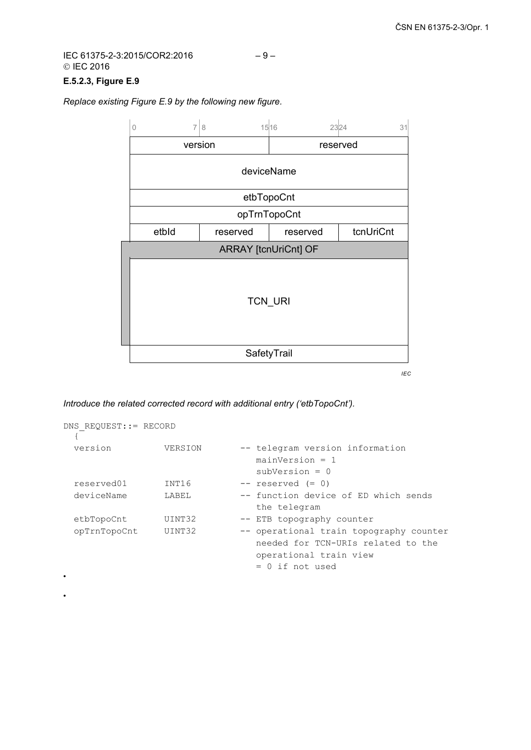IEC 61375-2-3:2015/COR2:2016 – 9 – © IEC 2016

#### **E.5.2.3, Figure E.9**

•

*Replace existing Figure E.9 by the following new figure.* 



*Introduce the related corrected record with additional entry ('etbTopoCnt').*

```
DNS_REQUEST::= RECORD
 \{ version VERSION -- telegram version information
                                mainVersion = 1
                                subVersion = 0
 reserved01 INT16 -- reserved (= 0)deviceName LABEL -- function device of ED which sends
                                the telegram
 etbTopoCnt UINT32 -- ETB topography counter
  opTrnTopoCnt UINT32 -- operational train topography counter
                                needed for TCN-URIs related to the
                                operational train view
                                = 0 if not used 
•
```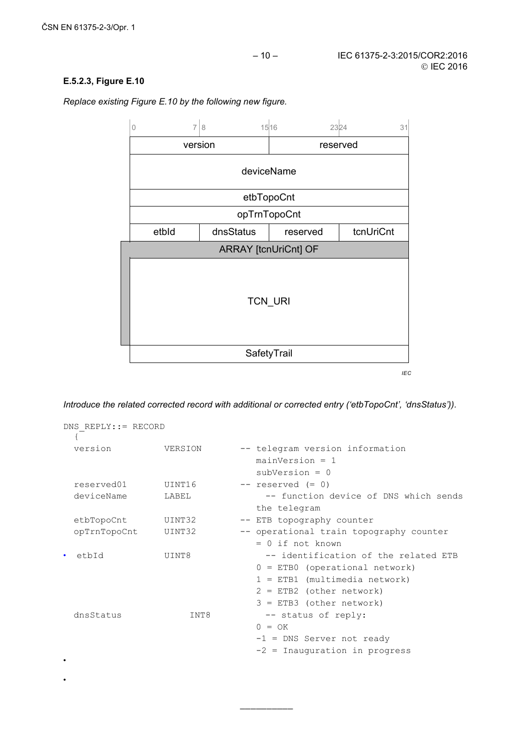•

#### **E.5.2.3, Figure E.10**

*Replace existing Figure E.10 by the following new figure.*



*Introduce the related corrected record with additional or corrected entry ('etbTopoCnt', 'dnsStatus')).* 

```
DNS_REPLY::= RECORD
  { 
  version VERSION -- telegram version information
                                mainVersion = 1
                                subVersion = 0
 reserved01 UINT16 -- reserved (= 0)
 deviceName LABEL -- function device of DNS which sends
                                the telegram
 etbTopoCnt UINT32 -- ETB topography counter
  opTrnTopoCnt UINT32 -- operational train topography counter
                                = 0 if not known 
• etbId UINT8 -- identification of the related ETB
                                0 = ETB0 (operational network)
                                1 = ETB1 (multimedia network)
                                2 = ETB2 (other network)
                                3 = ETB3 (other network)
 dnsStatus INT8 -- status of reply:
                               0 = OK -1 = DNS Server not ready
                                -2 = Inauguration in progress
•
```
\_\_\_\_\_\_\_\_\_\_